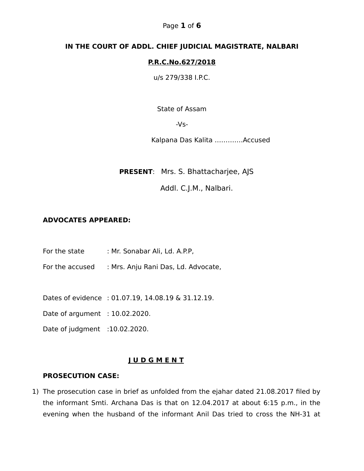### Page **1** of **6**

### **IN THE COURT OF ADDL. CHIEF JUDICIAL MAGISTRATE, NALBARI**

### **P.R.C.No.627/2018**

u/s 279/338 I.P.C.

State of Assam

 $-Vs-$ 

Kalpana Das Kalita ………….Accused

 **PRESENT**: Mrs. S. Bhattacharjee, AJS

Addl. C.J.M., Nalbari.

## **ADVOCATES APPEARED:**

- For the state : Mr. Sonabar Ali, Ld. A.P.P.
- For the accused : Mrs. Anju Rani Das, Ld. Advocate,

Dates of evidence : 01.07.19, 14.08.19 & 31.12.19.

Date of argument : 10.02.2020.

Date of judgment :10.02.2020.

#### **J U D G M E N T**

#### **PROSECUTION CASE:**

1) The prosecution case in brief as unfolded from the ejahar dated 21.08.2017 filed by the informant Smti. Archana Das is that on 12.04.2017 at about 6:15 p.m., in the evening when the husband of the informant Anil Das tried to cross the NH-31 at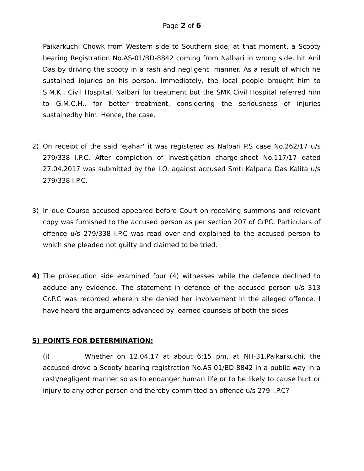Paikarkuchi Chowk from Western side to Southern side, at that moment, a Scooty bearing Registration No.AS-01/BD-8842 coming from Nalbari in wrong side, hit Anil Das by driving the scooty in a rash and negligent manner. As a result of which he sustained injuries on his person. Immediately, the local people brought him to S.M.K., Civil Hospital, Nalbari for treatment but the SMK Civil Hospital referred him to G.M.C.H., for better treatment, considering the seriousness of injuries sustainedby him. Hence, the case.

- 2) On receipt of the said 'ejahar' it was registered as Nalbari P.S case No.262/17 u/s 279/338 I.P.C. After completion of investigation charge-sheet No.117/17 dated 27.04.2017 was submitted by the I.O. against accused Smti Kalpana Das Kalita u/s 279/338 I.P.C.
- 3) In due Course accused appeared before Court on receiving summons and relevant copy was furnished to the accused person as per section 207 of CrPC. Particulars of offence u/s 279/338 I.P.C was read over and explained to the accused person to which she pleaded not guilty and claimed to be tried.
- **4)** The prosecution side examined four (4) witnesses while the defence declined to adduce any evidence. The statement in defence of the accused person u/s 313 Cr.P.C was recorded wherein she denied her involvement in the alleged offence. I have heard the arguments advanced by learned counsels of both the sides

## **5) POINTS FOR DETERMINATION:**

(i) Whether on 12.04.17 at about 6:15 pm, at NH-31,Paikarkuchi, the accused drove a Scooty bearing registration No.AS-01/BD-8842 in a public way in a rash/negligent manner so as to endanger human life or to be likely to cause hurt or injury to any other person and thereby committed an offence u/s 279 I.P.C?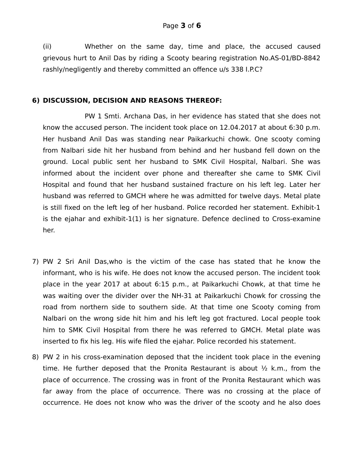(ii) Whether on the same day, time and place, the accused caused grievous hurt to Anil Das by riding a Scooty bearing registration No.AS-01/BD-8842 rashly/negligently and thereby committed an offence u/s 338 I.P.C?

### **6) DISCUSSION, DECISION AND REASONS THEREOF:**

PW 1 Smti. Archana Das, in her evidence has stated that she does not know the accused person. The incident took place on 12.04.2017 at about 6:30 p.m. Her husband Anil Das was standing near Paikarkuchi chowk. One scooty coming from Nalbari side hit her husband from behind and her husband fell down on the ground. Local public sent her husband to SMK Civil Hospital, Nalbari. She was informed about the incident over phone and thereafter she came to SMK Civil Hospital and found that her husband sustained fracture on his left leg. Later her husband was referred to GMCH where he was admitted for twelve days. Metal plate is still fixed on the left leg of her husband. Police recorded her statement. Exhibit-1 is the ejahar and exhibit-1(1) is her signature. Defence declined to Cross-examine her.

- 7) PW 2 Sri Anil Das,who is the victim of the case has stated that he know the informant, who is his wife. He does not know the accused person. The incident took place in the year 2017 at about 6:15 p.m., at Paikarkuchi Chowk, at that time he was waiting over the divider over the NH-31 at Paikarkuchi Chowk for crossing the road from northern side to southern side. At that time one Scooty coming from Nalbari on the wrong side hit him and his left leg got fractured. Local people took him to SMK Civil Hospital from there he was referred to GMCH. Metal plate was inserted to fix his leg. His wife filed the ejahar. Police recorded his statement.
- 8) PW 2 in his cross-examination deposed that the incident took place in the evening time. He further deposed that the Pronita Restaurant is about  $\frac{1}{2}$  k.m., from the place of occurrence. The crossing was in front of the Pronita Restaurant which was far away from the place of occurrence. There was no crossing at the place of occurrence. He does not know who was the driver of the scooty and he also does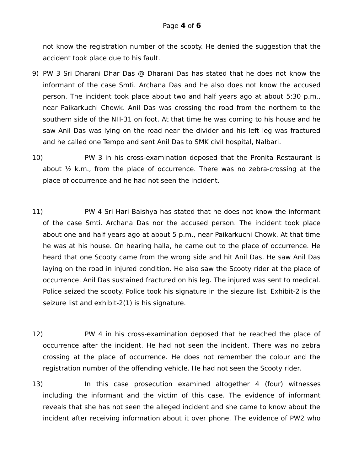not know the registration number of the scooty. He denied the suggestion that the accident took place due to his fault.

- 9) PW 3 Sri Dharani Dhar Das @ Dharani Das has stated that he does not know the informant of the case Smti. Archana Das and he also does not know the accused person. The incident took place about two and half years ago at about 5:30 p.m., near Paikarkuchi Chowk. Anil Das was crossing the road from the northern to the southern side of the NH-31 on foot. At that time he was coming to his house and he saw Anil Das was lying on the road near the divider and his left leg was fractured and he called one Tempo and sent Anil Das to SMK civil hospital, Nalbari.
- 10) PW 3 in his cross-examination deposed that the Pronita Restaurant is about  $\frac{1}{2}$  k.m., from the place of occurrence. There was no zebra-crossing at the place of occurrence and he had not seen the incident.
- 11) PW 4 Sri Hari Baishya has stated that he does not know the informant of the case Smti. Archana Das nor the accused person. The incident took place about one and half years ago at about 5 p.m., near Paikarkuchi Chowk. At that time he was at his house. On hearing halla, he came out to the place of occurrence. He heard that one Scooty came from the wrong side and hit Anil Das. He saw Anil Das laying on the road in injured condition. He also saw the Scooty rider at the place of occurrence. Anil Das sustained fractured on his leg. The injured was sent to medical. Police seized the scooty. Police took his signature in the siezure list. Exhibit-2 is the seizure list and exhibit-2(1) is his signature.
- 12) PW 4 in his cross-examination deposed that he reached the place of occurrence after the incident. He had not seen the incident. There was no zebra crossing at the place of occurrence. He does not remember the colour and the registration number of the offending vehicle. He had not seen the Scooty rider.
- 13) In this case prosecution examined altogether 4 (four) witnesses including the informant and the victim of this case. The evidence of informant reveals that she has not seen the alleged incident and she came to know about the incident after receiving information about it over phone. The evidence of PW2 who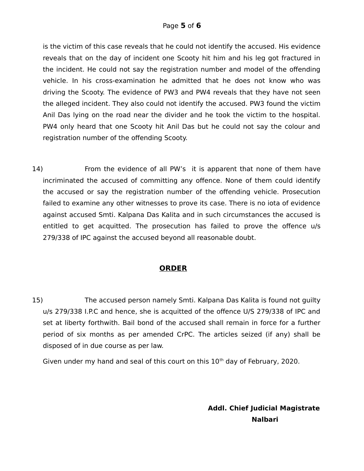is the victim of this case reveals that he could not identify the accused. His evidence reveals that on the day of incident one Scooty hit him and his leg got fractured in the incident. He could not say the registration number and model of the offending vehicle. In his cross-examination he admitted that he does not know who was driving the Scooty. The evidence of PW3 and PW4 reveals that they have not seen the alleged incident. They also could not identify the accused. PW3 found the victim Anil Das lying on the road near the divider and he took the victim to the hospital. PW4 only heard that one Scooty hit Anil Das but he could not say the colour and registration number of the offending Scooty.

14) From the evidence of all PW's it is apparent that none of them have incriminated the accused of committing any offence. None of them could identify the accused or say the registration number of the offending vehicle. Prosecution failed to examine any other witnesses to prove its case. There is no iota of evidence against accused Smti. Kalpana Das Kalita and in such circumstances the accused is entitled to get acquitted. The prosecution has failed to prove the offence u/s 279/338 of IPC against the accused beyond all reasonable doubt.

## **ORDER**

15) The accused person namely Smti. Kalpana Das Kalita is found not guilty u/s 279/338 I.P.C and hence, she is acquitted of the offence U/S 279/338 of IPC and set at liberty forthwith. Bail bond of the accused shall remain in force for a further period of six months as per amended CrPC. The articles seized (if any) shall be disposed of in due course as per law.

Given under my hand and seal of this court on this  $10<sup>th</sup>$  day of February, 2020.

 **Addl. Chief Judicial Magistrate Nalbari**